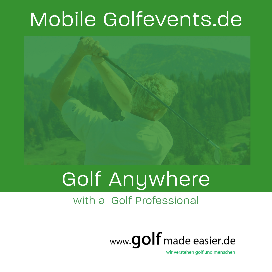## Mobile Golfevents.de



# Golf Anywhere

#### with a Golf Professional



wir verstehen golf und menschen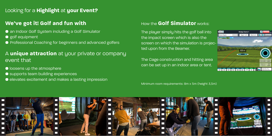#### **We've got it! Golf and fun with**

- an Indoor Golf System including a Golf Simulator
- golf equipment
- Professional Coaching for beginners and advanced golfers

- $\bullet$  loosens up the atmosphere
- **•** supports team building experiences
- elevates excitement and makes a lasting impression

### A **unique attraction** at your private or company event that

### Looking for a **Highlight** at **your Event?**

#### How the **Golf Simulator** works:

The player simply hits the golf ball into the impact screen which is also the screen on which the simulation is projected upon from the Beamer.

The Cage construction and hitting area can be set up in an indoor area or tent.

Minimum room requirements: 8m x 5m (height 3,5m)





BACK ?



.<br>Nedge Game 1